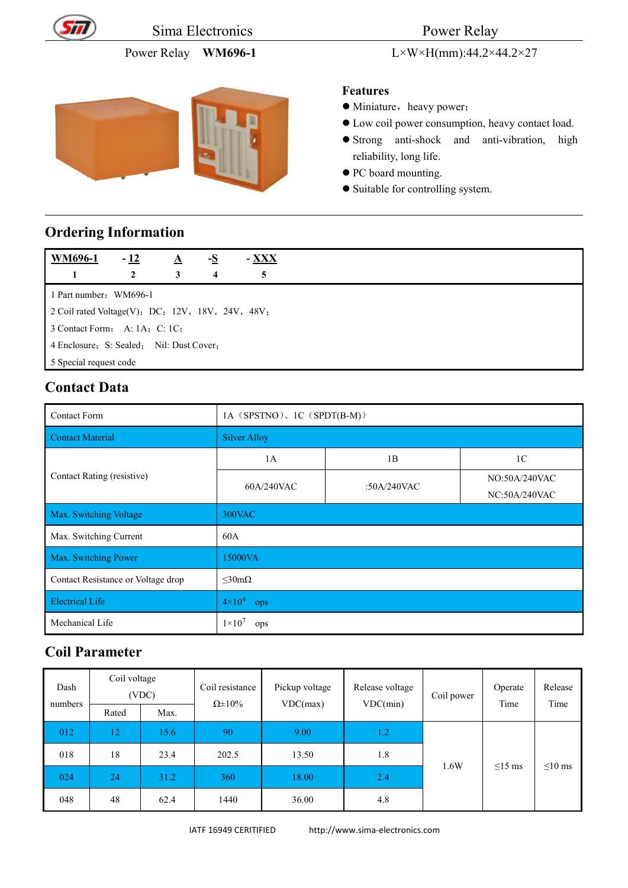

Sima Electronics Power Relay

# Power Relay **WM696-1** L×W×H(mm):44.2×44.2×27

#### **Features**

- $\bullet$  Miniature, heavy power;
- Low coil power consumption, heavy contact load.
- Strong anti-shock and anti-vibration, high reliability, long life.
- $\bullet$  PC board mounting.
- Suitable for controlling system.

#### **Ordering Information**

| <b>WM696-1</b>                                   | $-12$ | A | - <u>S</u>       | $-$ XXX |
|--------------------------------------------------|-------|---|------------------|---------|
|                                                  | 2     | 3 | $\boldsymbol{4}$ | 5       |
| 1 Part number: WM696-1                           |       |   |                  |         |
| 2 Coil rated Voltage(V): DC: 12V, 18V, 24V, 48V; |       |   |                  |         |
| 3 Contact Form: A: $1A$ ; C: $1C$ ;              |       |   |                  |         |
| 4 Enclosure: S: Sealed; Nil: Dust Cover:         |       |   |                  |         |
| 5 Special request code                           |       |   |                  |         |

### **Contact Data**

| <b>Contact Form</b>                | 1A (SPSTNO), 1C (SPDT(B-M)) |             |                                |  |  |
|------------------------------------|-----------------------------|-------------|--------------------------------|--|--|
| Contact Material                   | <b>Silver Alloy</b>         |             |                                |  |  |
|                                    | 1A                          | 1B          | 1 <sup>C</sup>                 |  |  |
| Contact Rating (resistive)         | 60A/240VAC                  | :50A/240VAC | NO:50A/240VAC<br>NC:50A/240VAC |  |  |
| Max. Switching Voltage             | 300VAC                      |             |                                |  |  |
| Max. Switching Current             | 60A                         |             |                                |  |  |
| Max. Switching Power               | 15000VA                     |             |                                |  |  |
| Contact Resistance or Voltage drop | $\leq 30m\Omega$            |             |                                |  |  |
| <b>Electrical Life</b>             | $4 \times 10^4$<br>ops      |             |                                |  |  |
| Mechanical Life                    | $1\times10^7$<br>ops        |             |                                |  |  |

#### **Coil Parameter**

| Dash<br>numbers | Coil voltage<br>(VDC) |      | Coil resistance<br>$\Omega \pm 10\%$ | Pickup voltage<br>VDC(max) | Release voltage<br>VDC(min) | Coil power | Operate<br>Time | Release<br>Time |
|-----------------|-----------------------|------|--------------------------------------|----------------------------|-----------------------------|------------|-----------------|-----------------|
| Rated           | Max.                  |      |                                      |                            |                             |            |                 |                 |
| 012             | 12                    | 15.6 | 90                                   | 9.00                       | 1.2                         |            |                 |                 |
| 018             | 18                    | 23.4 | 202.5                                | 13.50                      | 1.8                         |            |                 |                 |
| 024             | 24                    | 31.2 | 360                                  | 18.00                      | 2.4                         | 1.6W       | $\leq$ 15 ms    | $\leq 10$ ms    |
| 048             | 48                    | 62.4 | 1440                                 | 36.00                      | 4.8                         |            |                 |                 |